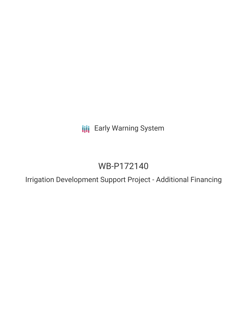**III** Early Warning System

# WB-P172140

Irrigation Development Support Project - Additional Financing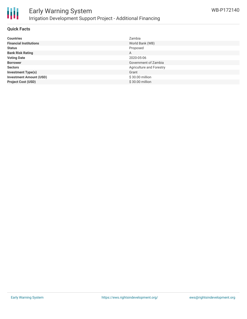

### **Quick Facts**

| <b>Countries</b>               | Zambia                   |
|--------------------------------|--------------------------|
| <b>Financial Institutions</b>  | World Bank (WB)          |
| <b>Status</b>                  | Proposed                 |
| <b>Bank Risk Rating</b>        | A                        |
| <b>Voting Date</b>             | 2020-05-06               |
| <b>Borrower</b>                | Government of Zambia     |
| <b>Sectors</b>                 | Agriculture and Forestry |
| <b>Investment Type(s)</b>      | Grant                    |
| <b>Investment Amount (USD)</b> | \$30.00 million          |
| <b>Project Cost (USD)</b>      | \$30.00 million          |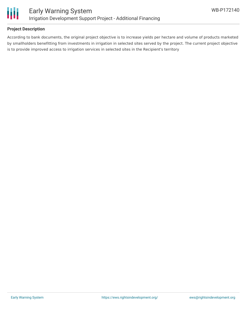

## **Project Description**

According to bank documents, the original project objective is to increase yields per hectare and volume of products marketed by smallholders benefitting from investments in irrigation in selected sites served by the project. The current project objective is to provide improved access to irrigation services in selected sites in the Recipient's territory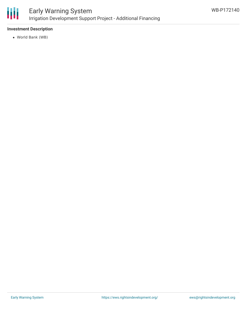

# Early Warning System Irrigation Development Support Project - Additional Financing

# **Investment Description**

World Bank (WB)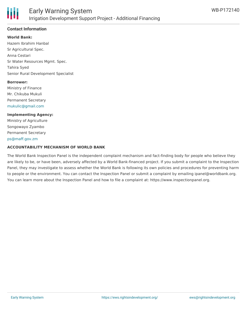

## **Contact Information**

#### **World Bank:**

Hazem Ibrahim Hanbal Sr Agricultural Spec. Anna Cestari Sr Water Resources Mgmt. Spec. Tahira Syed Senior Rural Development Specialist

#### **Borrower:**

Ministry of Finance Mr. Chikuba Mukuli Permanent Secretary [mukulic@gmail.com](mailto:mukulic@gmail.com)

# **Implementing Agency:** Ministry of Agriculture Songowayo Zyambo Permanent Secretary [ps@maff.gov.zm](mailto:ps@maff.gov.zm)

#### **ACCOUNTABILITY MECHANISM OF WORLD BANK**

The World Bank Inspection Panel is the independent complaint mechanism and fact-finding body for people who believe they are likely to be, or have been, adversely affected by a World Bank-financed project. If you submit a complaint to the Inspection Panel, they may investigate to assess whether the World Bank is following its own policies and procedures for preventing harm to people or the environment. You can contact the Inspection Panel or submit a complaint by emailing ipanel@worldbank.org. You can learn more about the Inspection Panel and how to file a complaint at: https://www.inspectionpanel.org.